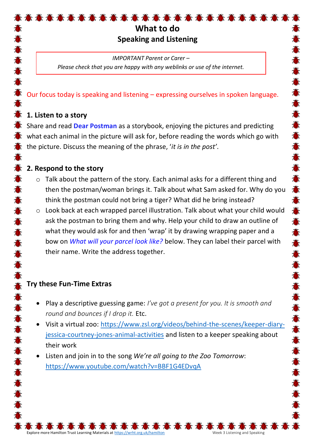# **What to do Speaking and Listening**

5 高 高 高 高 高 高 高

*IMPORTANT Parent or Carer – Please check that you are happy with any weblinks or use of the internet.*

#### Our focus today is speaking and listening – expressing ourselves in spoken language.

## **1. Listen to a story**

Share and read **Dear Postman** as a storybook, enjoying the pictures and predicting what each animal in the picture will ask for, before reading the words which go with the picture. Discuss the meaning of the phrase, '*it is in the post'*.

#### **2. Respond to the story**

- o Talk about the pattern of the story. Each animal asks for a different thing and then the postman/woman brings it. Talk about what Sam asked for. Why do you think the postman could not bring a tiger? What did he bring instead?
- o Look back at each wrapped parcel illustration. Talk about what your child would ask the postman to bring them and why. Help your child to draw an outline of what they would ask for and then 'wrap' it by drawing wrapping paper and a bow on *What will your parcel look like?* below. They can label their parcel with their name. Write the address together.

## **Try these Fun-Time Extras**

- Play a descriptive guessing game: *I've got a present for you. It is smooth and round and bounces if I drop it.* Etc.
- Visit a virtual zoo: [https://www.zsl.org/videos/behind-the-scenes/keeper-diary](https://www.zsl.org/videos/behind-the-scenes/keeper-diary-jessica-courtney-jones-animal-activities)[jessica-courtney-jones-animal-activities](https://www.zsl.org/videos/behind-the-scenes/keeper-diary-jessica-courtney-jones-animal-activities) and listen to a keeper speaking about their work
- Listen and join in to the song *We're all going to the Zoo Tomorrow*: <https://www.youtube.com/watch?v=BBF1G4EDvqA>

Explore more Hamilton Trust Learning Materials at <https://wrht.org.uk/hamilton> Week 3 Listening and Speaking